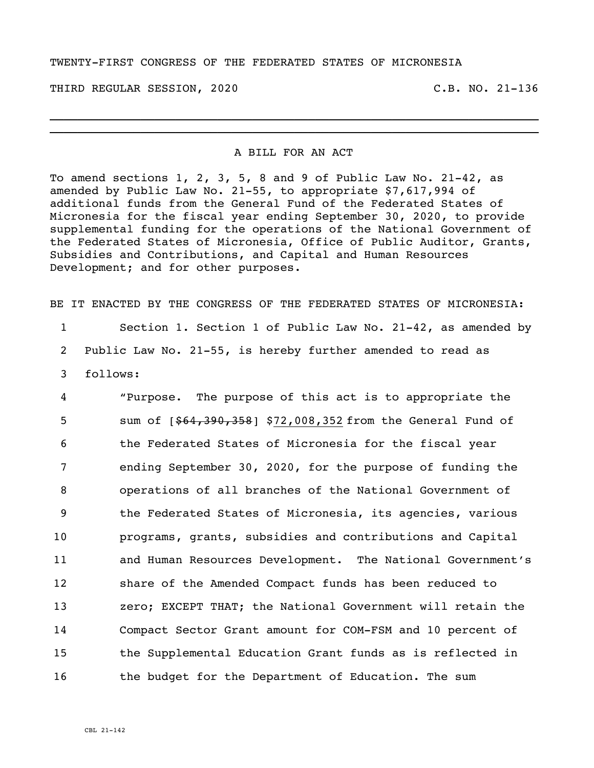## TWENTY-FIRST CONGRESS OF THE FEDERATED STATES OF MICRONESIA

THIRD REGULAR SESSION, 2020 C.B. NO. 21-136

## A BILL FOR AN ACT

\_\_\_\_\_\_\_\_\_\_\_\_\_\_\_\_\_\_\_\_\_\_\_\_\_\_\_\_\_\_\_\_\_\_\_\_\_\_\_\_\_\_\_\_\_\_\_\_\_\_\_\_\_\_\_\_\_\_\_\_\_\_\_\_\_\_\_\_\_\_ \_\_\_\_\_\_\_\_\_\_\_\_\_\_\_\_\_\_\_\_\_\_\_\_\_\_\_\_\_\_\_\_\_\_\_\_\_\_\_\_\_\_\_\_\_\_\_\_\_\_\_\_\_\_\_\_\_\_\_\_\_\_\_\_\_\_\_\_\_\_

To amend sections 1, 2, 3, 5, 8 and 9 of Public Law No. 21-42, as amended by Public Law No. 21-55, to appropriate \$7,617,994 of additional funds from the General Fund of the Federated States of Micronesia for the fiscal year ending September 30, 2020, to provide supplemental funding for the operations of the National Government of the Federated States of Micronesia, Office of Public Auditor, Grants, Subsidies and Contributions, and Capital and Human Resources Development; and for other purposes.

BE IT ENACTED BY THE CONGRESS OF THE FEDERATED STATES OF MICRONESIA:

1 Section 1. Section 1 of Public Law No. 21-42, as amended by 2 Public Law No. 21-55, is hereby further amended to read as 3 follows:

 "Purpose. The purpose of this act is to appropriate the 5 sum of  $[$ \$64,390,358] \$72,008,352 from the General Fund of the Federated States of Micronesia for the fiscal year ending September 30, 2020, for the purpose of funding the operations of all branches of the National Government of the Federated States of Micronesia, its agencies, various programs, grants, subsidies and contributions and Capital and Human Resources Development. The National Government's share of the Amended Compact funds has been reduced to **2008** zero; EXCEPT THAT; the National Government will retain the Compact Sector Grant amount for COM-FSM and 10 percent of the Supplemental Education Grant funds as is reflected in 16 the budget for the Department of Education. The sum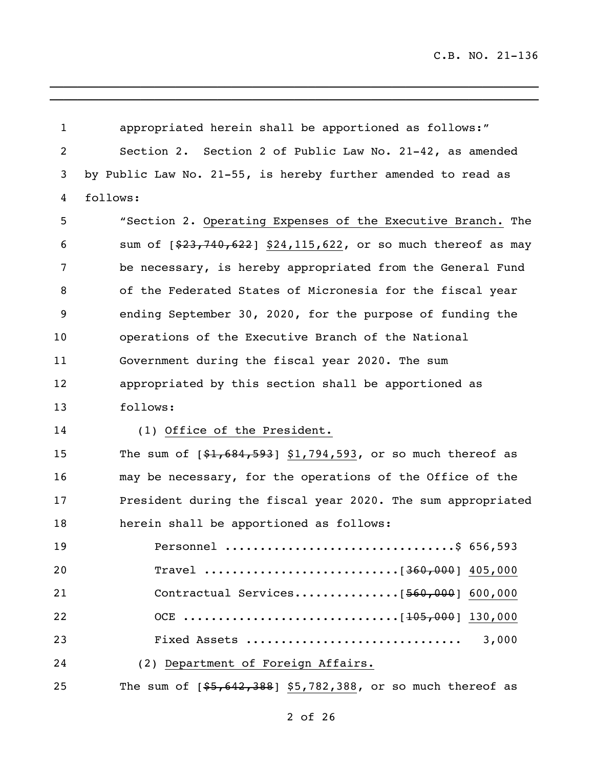$\_$  ,  $\_$  ,  $\_$  ,  $\_$  ,  $\_$  ,  $\_$  ,  $\_$  ,  $\_$  ,  $\_$  ,  $\_$  ,  $\_$  ,  $\_$  ,  $\_$  ,  $\_$  ,  $\_$  ,  $\_$ 

| $\mathbf{1}$   | appropriated herein shall be apportioned as follows:"          |
|----------------|----------------------------------------------------------------|
| $\overline{c}$ | Section 2. Section 2 of Public Law No. 21-42, as amended       |
| 3              | by Public Law No. 21-55, is hereby further amended to read as  |
| 4              | follows:                                                       |
| 5              | "Section 2. Operating Expenses of the Executive Branch. The    |
| 6              | sum of [\$23,740,622] \$24,115,622, or so much thereof as may  |
| 7              | be necessary, is hereby appropriated from the General Fund     |
| 8              | of the Federated States of Micronesia for the fiscal year      |
| 9              | ending September 30, 2020, for the purpose of funding the      |
| 10             | operations of the Executive Branch of the National             |
| 11             | Government during the fiscal year 2020. The sum                |
| 12             | appropriated by this section shall be apportioned as           |
| 13             | follows:                                                       |
| 14             | (1) Office of the President.                                   |
| 15             | The sum of $[$1,684,593]$ \$1,794,593, or so much thereof as   |
| 16             | may be necessary, for the operations of the Office of the      |
| 17             | President during the fiscal year 2020. The sum appropriated    |
| 18             | herein shall be apportioned as follows:                        |
| 19             | Personnel \$ 656,593                                           |
| 20             |                                                                |
| 21             |                                                                |
| 22             |                                                                |
| 23             |                                                                |
| 24             | (2) Department of Foreign Affairs.                             |
| 25             | The sum of $[55, 642, 388]$ \$5,782,388, or so much thereof as |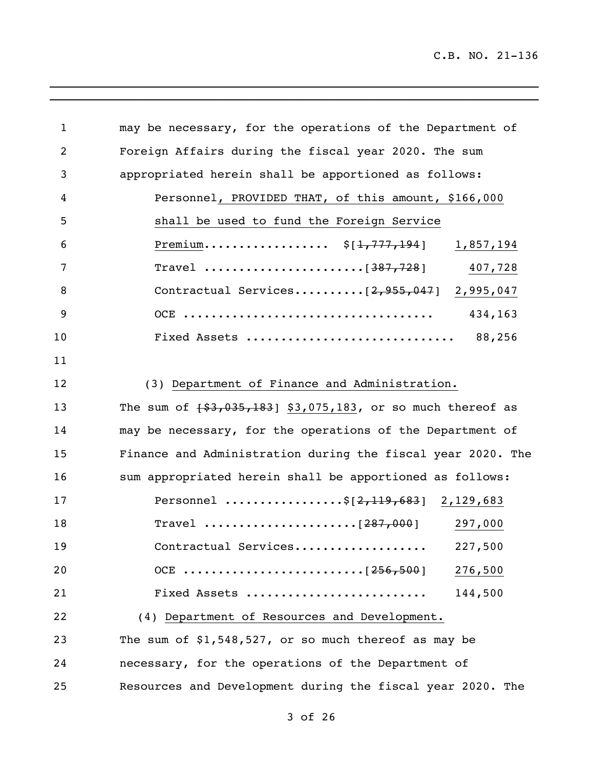| $\mathbf{1}$ | may be necessary, for the operations of the Department of      |
|--------------|----------------------------------------------------------------|
| 2            | Foreign Affairs during the fiscal year 2020. The sum           |
| 3            | appropriated herein shall be apportioned as follows:           |
| 4            | Personnel, PROVIDED THAT, of this amount, \$166,000            |
| 5            | shall be used to fund the Foreign Service                      |
| 6            | Premium $\S[1,777,194]$<br>1,857,194                           |
| 7            | 407,728                                                        |
| 8            | Contractual Services $[2, 955, 047]$ 2,995,047                 |
| 9            | 434,163                                                        |
| 10           | Fixed Assets  88,256                                           |
| 11           |                                                                |
| 12           | (3) Department of Finance and Administration.                  |
| 13           | The sum of $\{53,035,183\}$ \$3,075,183, or so much thereof as |
| 14           | may be necessary, for the operations of the Department of      |
| 15           | Finance and Administration during the fiscal year 2020. The    |
| 16           | sum appropriated herein shall be apportioned as follows:       |
| 17           | Personnel \$ $[2, 119, 683]$ 2, 129, 683                       |
| 18           | 297,000                                                        |
| 19           | Contractual Services<br>227,500                                |
| 20           | 276,500                                                        |
| 21           | 144,500<br>Fixed Assets                                        |
| 22           | (4) Department of Resources and Development.                   |
| 23           | The sum of \$1,548,527, or so much thereof as may be           |
| 24           | necessary, for the operations of the Department of             |
| 25           | Resources and Development during the fiscal year 2020. The     |

\_\_\_\_\_\_\_\_\_\_\_\_\_\_\_\_\_\_\_\_\_\_\_\_\_\_\_\_\_\_\_\_\_\_\_\_\_\_\_\_\_\_\_\_\_\_\_\_\_\_\_\_\_\_\_\_\_\_\_\_\_\_\_\_\_\_\_\_\_\_  $\overline{a_1}$  ,  $\overline{a_2}$  ,  $\overline{a_3}$  ,  $\overline{a_4}$  ,  $\overline{a_5}$  ,  $\overline{a_6}$  ,  $\overline{a_7}$  ,  $\overline{a_8}$  ,  $\overline{a_9}$  ,  $\overline{a_9}$  ,  $\overline{a_9}$  ,  $\overline{a_9}$  ,  $\overline{a_9}$  ,  $\overline{a_9}$  ,  $\overline{a_9}$  ,  $\overline{a_9}$  ,  $\overline{a_9}$  ,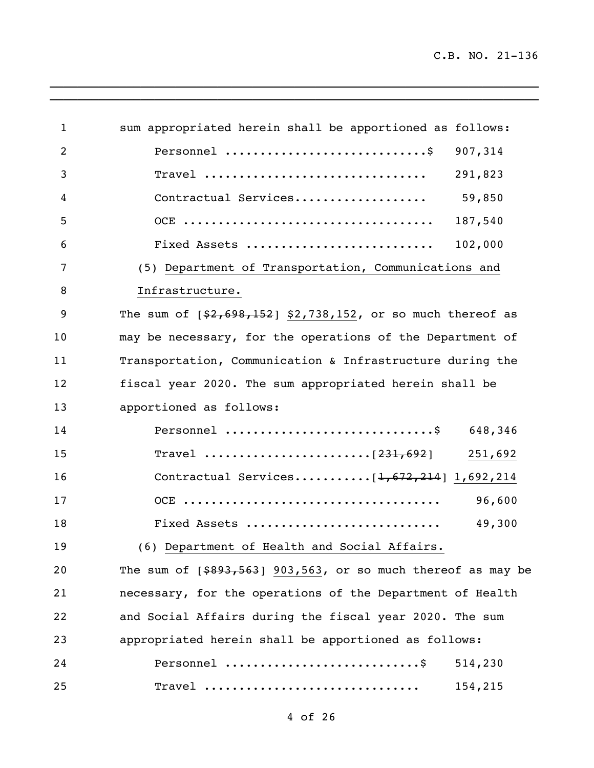| $\mathbf{1}$ | sum appropriated herein shall be apportioned as follows:             |
|--------------|----------------------------------------------------------------------|
| 2            | 907,314                                                              |
| 3            | 291,823<br>$\texttt{Travel}$                                         |
| 4            | Contractual Services<br>59,850                                       |
| 5            | 187,540                                                              |
| 6            | Fixed Assets<br>102,000                                              |
| 7            | (5) Department of Transportation, Communications and                 |
| 8            | Infrastructure.                                                      |
| 9            | The sum of $[$2,698,152]$ \$2,738,152, or so much thereof as         |
| 10           | may be necessary, for the operations of the Department of            |
| 11           | Transportation, Communication & Infrastructure during the            |
| 12           | fiscal year 2020. The sum appropriated herein shall be               |
| 13           | apportioned as follows:                                              |
| 14           | Personnel \$ $648,346$                                               |
| 15           | 251,692                                                              |
| 16           | Contractual Services $[1,672,214]$ 1,692,214                         |
| 17           | 96,600                                                               |
| 18           | 49,300<br>Fixed Assets                                               |
| 19           | (6) Department of Health and Social Affairs.                         |
| 20           | The sum of $[$ \$893,563] 903,563, or so much thereof as may be      |
| 21           | necessary, for the operations of the Department of Health            |
| 22           | and Social Affairs during the fiscal year 2020. The sum              |
| 23           | appropriated herein shall be apportioned as follows:                 |
| 24           | Personnel $\dots\dots\dots\dots\dots\dots\dots\dots\dots$<br>514,230 |
| 25           | Travel<br>154,215                                                    |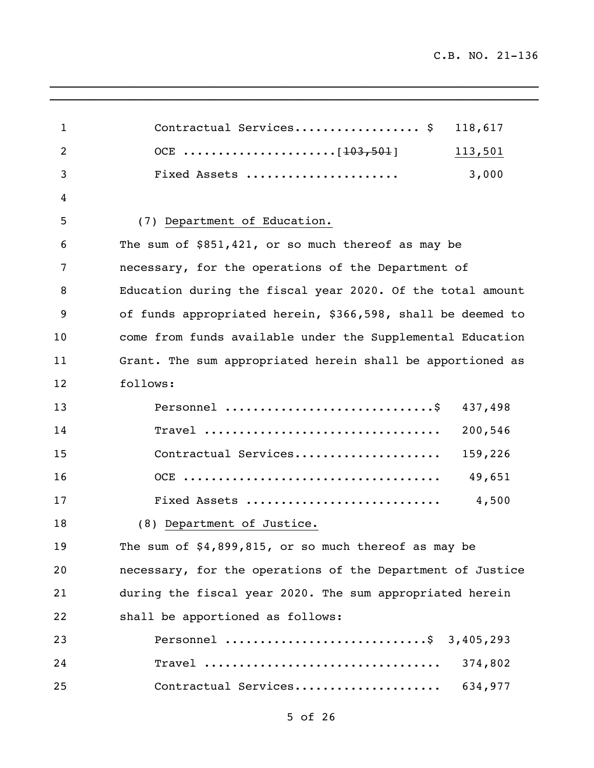| $\mathbf{1}$ | Contractual Services \$                                     | 118,617 |
|--------------|-------------------------------------------------------------|---------|
| 2            |                                                             | 113,501 |
| 3            | Fixed Assets                                                | 3,000   |
| 4            |                                                             |         |
| 5            | (7) Department of Education.                                |         |
| 6            | The sum of \$851,421, or so much thereof as may be          |         |
| 7            | necessary, for the operations of the Department of          |         |
| 8            | Education during the fiscal year 2020. Of the total amount  |         |
| 9            | of funds appropriated herein, \$366,598, shall be deemed to |         |
| 10           | come from funds available under the Supplemental Education  |         |
| 11           | Grant. The sum appropriated herein shall be apportioned as  |         |
| 12           | follows:                                                    |         |
| 13           |                                                             | 437,498 |
| 14           | Travel                                                      | 200,546 |
| 15           | Contractual Services                                        | 159,226 |
| 16           |                                                             | 49,651  |
| 17           | Fixed Assets                                                | 4,500   |
| 18           | (8) Department of Justice.                                  |         |
| 19           | The sum of \$4,899,815, or so much thereof as may be        |         |
| 20           | necessary, for the operations of the Department of Justice  |         |
| 21           | during the fiscal year 2020. The sum appropriated herein    |         |
| 22           | shall be apportioned as follows:                            |         |
| 23           | Personnel \$ 3,405,293                                      |         |
| 24           | Travel                                                      | 374,802 |
| 25           | Contractual Services                                        | 634,977 |

\_\_\_\_\_\_\_\_\_\_\_\_\_\_\_\_\_\_\_\_\_\_\_\_\_\_\_\_\_\_\_\_\_\_\_\_\_\_\_\_\_\_\_\_\_\_\_\_\_\_\_\_\_\_\_\_\_\_\_\_\_\_\_\_\_\_\_\_\_\_  $\overline{a_1}$  ,  $\overline{a_2}$  ,  $\overline{a_3}$  ,  $\overline{a_4}$  ,  $\overline{a_5}$  ,  $\overline{a_6}$  ,  $\overline{a_7}$  ,  $\overline{a_8}$  ,  $\overline{a_9}$  ,  $\overline{a_9}$  ,  $\overline{a_9}$  ,  $\overline{a_9}$  ,  $\overline{a_9}$  ,  $\overline{a_9}$  ,  $\overline{a_9}$  ,  $\overline{a_9}$  ,  $\overline{a_9}$  ,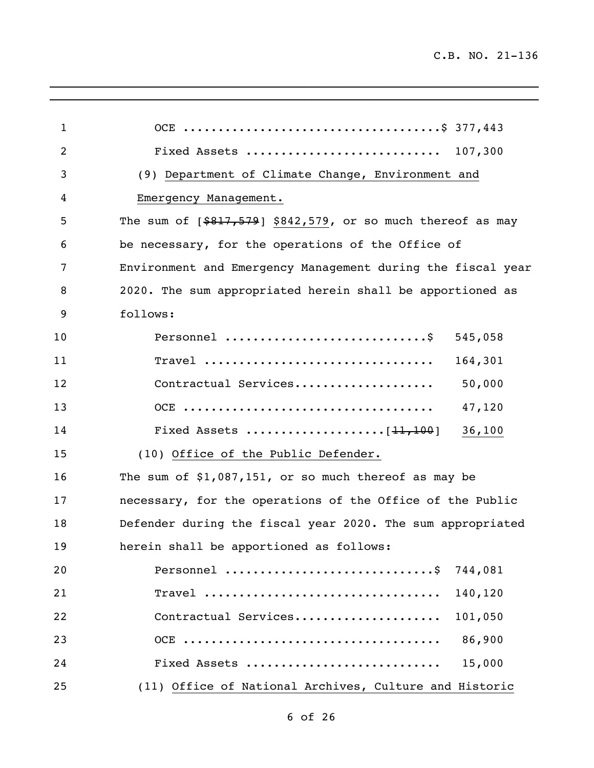| $\mathbf{1}$   |                                                                |
|----------------|----------------------------------------------------------------|
| $\overline{2}$ | Fixed Assets  107,300                                          |
| 3              | (9) Department of Climate Change, Environment and              |
| 4              | Emergency Management.                                          |
| 5              | The sum of $[$ \$817,579] \$842,579, or so much thereof as may |
| 6              | be necessary, for the operations of the Office of              |
| 7              | Environment and Emergency Management during the fiscal year    |
| 8              | 2020. The sum appropriated herein shall be apportioned as      |
| 9              | follows:                                                       |
| 10             | Personnel<br>545,058                                           |
| 11             | Travel<br>164,301                                              |
| 12             | Contractual Services<br>50,000                                 |
| 13             | 47,120                                                         |
| 14             | 36,100                                                         |
| 15             | (10) Office of the Public Defender.                            |
| 16             | The sum of $$1,087,151$ , or so much thereof as may be         |
| 17             | necessary, for the operations of the Office of the Public      |
| 18             | Defender during the fiscal year 2020. The sum appropriated     |
| 19             | herein shall be apportioned as follows:                        |
| 20             | 744,081                                                        |
| 21             | Travel<br>140,120                                              |
| 22             | Contractual Services<br>101,050                                |
| 23             | 86,900                                                         |
| 24             | Fixed Assets<br>15,000                                         |
| 25             | (11) Office of National Archives, Culture and Historic         |

\_\_\_\_\_\_\_\_\_\_\_\_\_\_\_\_\_\_\_\_\_\_\_\_\_\_\_\_\_\_\_\_\_\_\_\_\_\_\_\_\_\_\_\_\_\_\_\_\_\_\_\_\_\_\_\_\_\_\_\_\_\_\_\_\_\_\_\_\_\_  $\overline{a_1}$  ,  $\overline{a_2}$  ,  $\overline{a_3}$  ,  $\overline{a_4}$  ,  $\overline{a_5}$  ,  $\overline{a_6}$  ,  $\overline{a_7}$  ,  $\overline{a_8}$  ,  $\overline{a_9}$  ,  $\overline{a_9}$  ,  $\overline{a_9}$  ,  $\overline{a_9}$  ,  $\overline{a_9}$  ,  $\overline{a_9}$  ,  $\overline{a_9}$  ,  $\overline{a_9}$  ,  $\overline{a_9}$  ,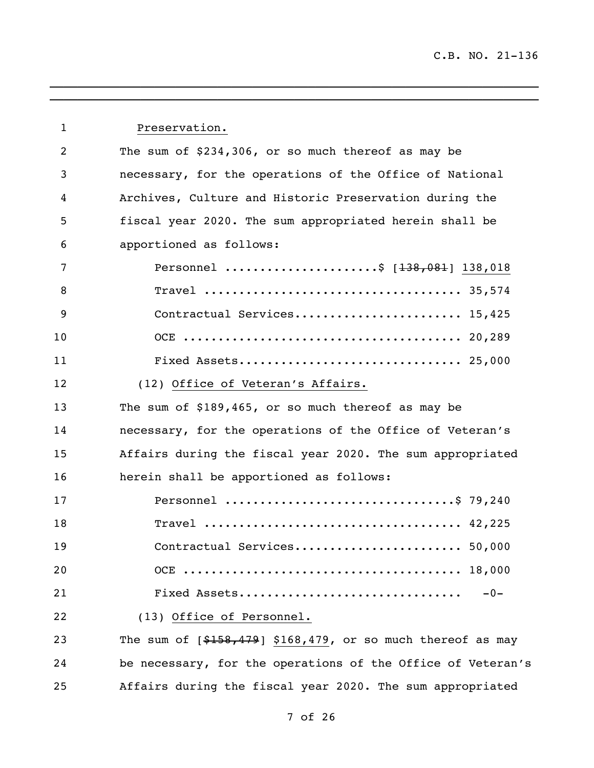| $\mathbf{1}$   | Preservation.                                                |
|----------------|--------------------------------------------------------------|
| $\overline{2}$ | The sum of \$234,306, or so much thereof as may be           |
| 3              | necessary, for the operations of the Office of National      |
| 4              | Archives, Culture and Historic Preservation during the       |
| 5              | fiscal year 2020. The sum appropriated herein shall be       |
| 6              | apportioned as follows:                                      |
| 7              | Personnel \$ $[138, 081]$ 138,018                            |
| 8              |                                                              |
| 9              | Contractual Services 15,425                                  |
| 10             |                                                              |
| 11             |                                                              |
| 12             | (12) Office of Veteran's Affairs.                            |
| 13             | The sum of \$189,465, or so much thereof as may be           |
| 14             | necessary, for the operations of the Office of Veteran's     |
| 15             | Affairs during the fiscal year 2020. The sum appropriated    |
| 16             | herein shall be apportioned as follows:                      |
| 17             | Personnel \$ 79,240                                          |
| 18             |                                                              |
| 19             | Contractual Services 50,000                                  |
| 20             |                                                              |
| 21             | Fixed Assets<br>$-0-$                                        |
| 22             | (13) Office of Personnel.                                    |
| 23             | The sum of $[$158,479]$ \$168,479, or so much thereof as may |
| 24             | be necessary, for the operations of the Office of Veteran's  |
| 25             | Affairs during the fiscal year 2020. The sum appropriated    |

\_\_\_\_\_\_\_\_\_\_\_\_\_\_\_\_\_\_\_\_\_\_\_\_\_\_\_\_\_\_\_\_\_\_\_\_\_\_\_\_\_\_\_\_\_\_\_\_\_\_\_\_\_\_\_\_\_\_\_\_\_\_\_\_\_\_\_\_\_\_  $\overline{\phantom{a}}$  , and the contribution of the contribution of the contribution of the contribution of the contribution of the contribution of the contribution of the contribution of the contribution of the contribution of the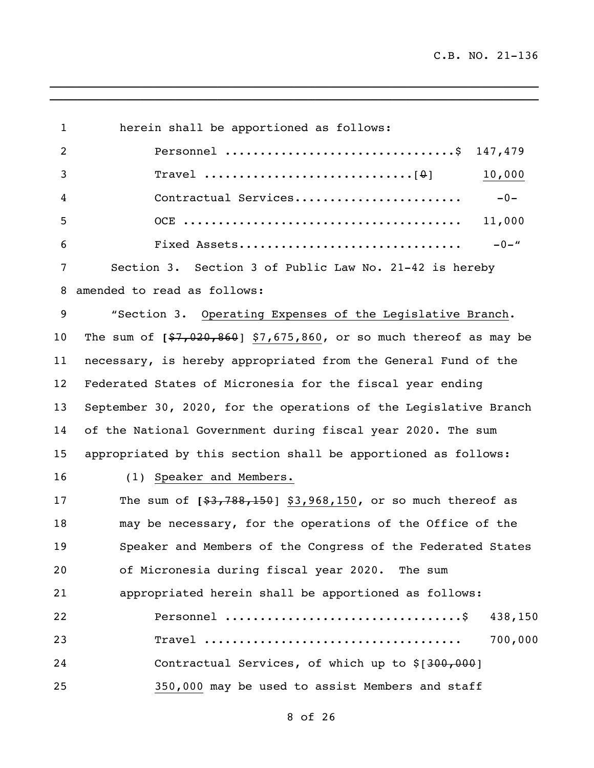| $\mathbf 1$    | herein shall be apportioned as follows:                             |
|----------------|---------------------------------------------------------------------|
| $\overline{2}$ | Personnel \$ 147,479                                                |
| 3              | 10,000                                                              |
| 4              | Contractual Services<br>$-0-$                                       |
| 5              | 11,000                                                              |
| 6              | $-0 -$ "<br>Fixed Assets                                            |
| 7              | Section 3. Section 3 of Public Law No. 21-42 is hereby              |
| 8              | amended to read as follows:                                         |
| 9              | "Section 3. Operating Expenses of the Legislative Branch.           |
| 10             | The sum of $[$7,020,860]$ \$7,675,860, or so much thereof as may be |
| 11             | necessary, is hereby appropriated from the General Fund of the      |
| 12             | Federated States of Micronesia for the fiscal year ending           |
| 13             | September 30, 2020, for the operations of the Legislative Branch    |
| 14             | of the National Government during fiscal year 2020. The sum         |
| 15             | appropriated by this section shall be apportioned as follows:       |
| 16             | (1) Speaker and Members.                                            |
| 17             | The sum of $[$ \$3,788,150] \$3,968,150, or so much thereof as      |
| 18             | may be necessary, for the operations of the Office of the           |
| 19             | Speaker and Members of the Congress of the Federated States         |
| 20             | of Micronesia during fiscal year 2020. The sum                      |
| 21             | appropriated herein shall be apportioned as follows:                |
| 22             | 438,150                                                             |
| 23             | 700,000                                                             |
| 24             | Contractual Services, of which up to \$[300,000]                    |
| 25             | 350,000 may be used to assist Members and staff                     |

\_\_\_\_\_\_\_\_\_\_\_\_\_\_\_\_\_\_\_\_\_\_\_\_\_\_\_\_\_\_\_\_\_\_\_\_\_\_\_\_\_\_\_\_\_\_\_\_\_\_\_\_\_\_\_\_\_\_\_\_\_\_\_\_\_\_\_\_\_\_  $\overline{a_1}$  ,  $\overline{a_2}$  ,  $\overline{a_3}$  ,  $\overline{a_4}$  ,  $\overline{a_5}$  ,  $\overline{a_6}$  ,  $\overline{a_7}$  ,  $\overline{a_8}$  ,  $\overline{a_9}$  ,  $\overline{a_9}$  ,  $\overline{a_9}$  ,  $\overline{a_9}$  ,  $\overline{a_9}$  ,  $\overline{a_9}$  ,  $\overline{a_9}$  ,  $\overline{a_9}$  ,  $\overline{a_9}$  ,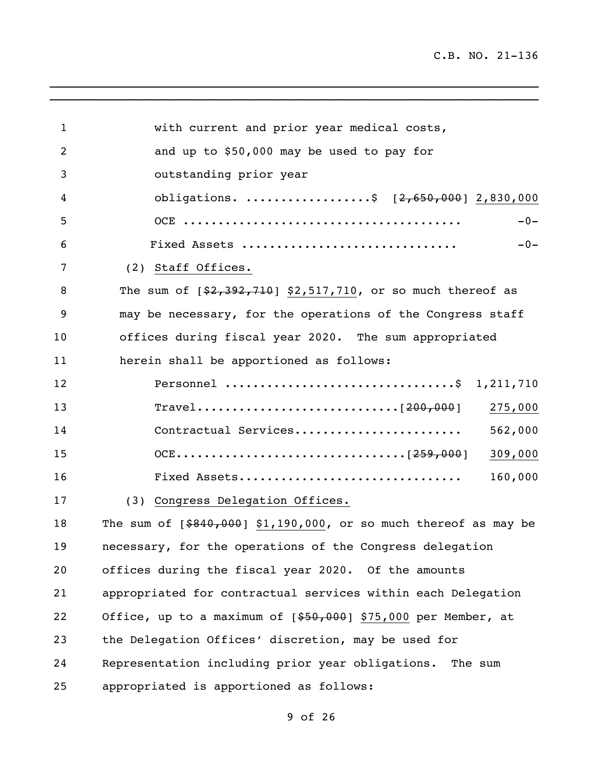| $\mathbf{1}$ | with current and prior year medical costs,                         |
|--------------|--------------------------------------------------------------------|
| 2            | and up to \$50,000 may be used to pay for                          |
| 3            | outstanding prior year                                             |
| 4            | obligations. \$ [2,650,000] 2,830,000                              |
| 5            | $-0-$                                                              |
| 6            | Fixed Assets<br>$-0-$                                              |
| 7            | (2) Staff Offices.                                                 |
| 8            | The sum of $[$2,392,710]$ \$2,517,710, or so much thereof as       |
| 9            | may be necessary, for the operations of the Congress staff         |
| 10           | offices during fiscal year 2020. The sum appropriated              |
| 11           | herein shall be apportioned as follows:                            |
| 12           | Personnel \$ 1,211,710                                             |
| 13           | 275,000                                                            |
| 14           | 562,000<br>Contractual Services                                    |
| 15           | 309,000                                                            |
| 16           | 160,000<br>Fixed Assets                                            |
| 17           | (3) Congress Delegation Offices.                                   |
| 18           | The sum of $[ $840,000]$ \$1,190,000, or so much thereof as may be |
| 19           | necessary, for the operations of the Congress delegation           |
| 20           | offices during the fiscal year 2020. Of the amounts                |
| 21           | appropriated for contractual services within each Delegation       |
| 22           | Office, up to a maximum of [\$50,000] \$75,000 per Member, at      |
| 23           | the Delegation Offices' discretion, may be used for                |
| 24           | Representation including prior year obligations. The sum           |
| 25           | appropriated is apportioned as follows:                            |

\_\_\_\_\_\_\_\_\_\_\_\_\_\_\_\_\_\_\_\_\_\_\_\_\_\_\_\_\_\_\_\_\_\_\_\_\_\_\_\_\_\_\_\_\_\_\_\_\_\_\_\_\_\_\_\_\_\_\_\_\_\_\_\_\_\_\_\_\_\_  $\overline{a_1}$  ,  $\overline{a_2}$  ,  $\overline{a_3}$  ,  $\overline{a_4}$  ,  $\overline{a_5}$  ,  $\overline{a_6}$  ,  $\overline{a_7}$  ,  $\overline{a_8}$  ,  $\overline{a_9}$  ,  $\overline{a_9}$  ,  $\overline{a_9}$  ,  $\overline{a_9}$  ,  $\overline{a_9}$  ,  $\overline{a_9}$  ,  $\overline{a_9}$  ,  $\overline{a_9}$  ,  $\overline{a_9}$  ,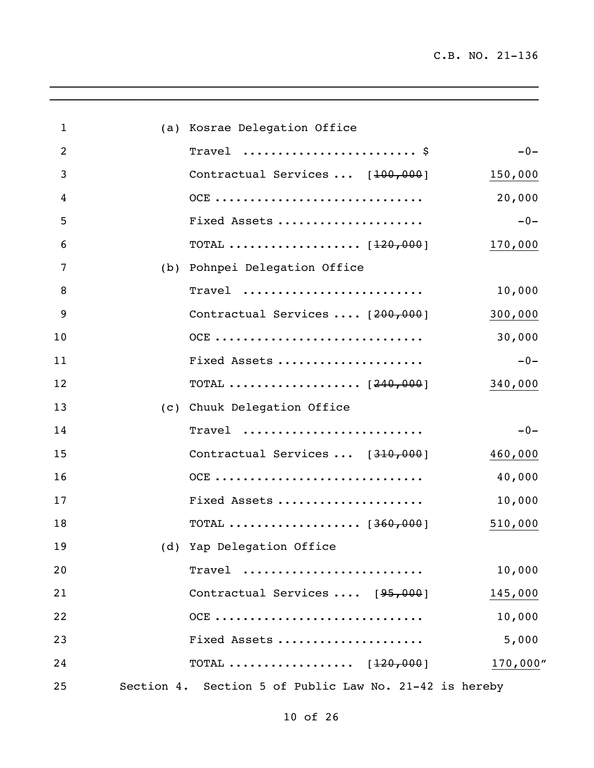| $\mathbf{1}$   | (a) Kosrae Delegation Office                                   |             |
|----------------|----------------------------------------------------------------|-------------|
| $\overline{2}$ | Travel $\frac{1}{2}$                                           | $-0-$       |
| 3              | Contractual Services  [100,000]                                | 150,000     |
| 4              | OCE                                                            | 20,000      |
| 5              | Fixed Assets                                                   | $-0-$       |
| 6              | TOTAL $\ldots \ldots \ldots \ldots \ldots \ldots \;$ [120,000] | 170,000     |
| 7              | (b) Pohnpei Delegation Office                                  |             |
| 8              | Travel                                                         | 10,000      |
| 9              | Contractual Services  [200,000]                                | 300,000     |
| 10             | OCE                                                            | 30,000      |
| 11             | Fixed Assets                                                   | $-0-$       |
| 12             | TOTAL $[240,000]$                                              | 340,000     |
| 13             | (c) Chuuk Delegation Office                                    |             |
| 14             | Travel                                                         | $-0-$       |
| 15             | Contractual Services  [310,000]                                | 460,000     |
| 16             | OCE                                                            | 40,000      |
| 17             | Fixed Assets                                                   | 10,000      |
| 18             | TOTAL $\ldots \ldots \ldots \ldots \ldots \ldots$ [360,000]    | 510,000     |
| 19             | (d) Yap Delegation Office                                      |             |
| 20             | Travel                                                         | 10,000      |
| 21             | Contractual Services  [95,000]                                 | 145,000     |
| 22             | OCE                                                            | 10,000      |
| 23             | Fixed Assets                                                   | 5,000       |
| 24             | TOTAL $[120,000]$                                              | $170,000$ " |
| 25             | Section 4. Section 5 of Public Law No. 21-42 is hereby         |             |

 $\overline{\phantom{a}}$  ,  $\overline{\phantom{a}}$  ,  $\overline{\phantom{a}}$  ,  $\overline{\phantom{a}}$  ,  $\overline{\phantom{a}}$  ,  $\overline{\phantom{a}}$  ,  $\overline{\phantom{a}}$  ,  $\overline{\phantom{a}}$  ,  $\overline{\phantom{a}}$  ,  $\overline{\phantom{a}}$  ,  $\overline{\phantom{a}}$  ,  $\overline{\phantom{a}}$  ,  $\overline{\phantom{a}}$  ,  $\overline{\phantom{a}}$  ,  $\overline{\phantom{a}}$  ,  $\overline{\phantom{a}}$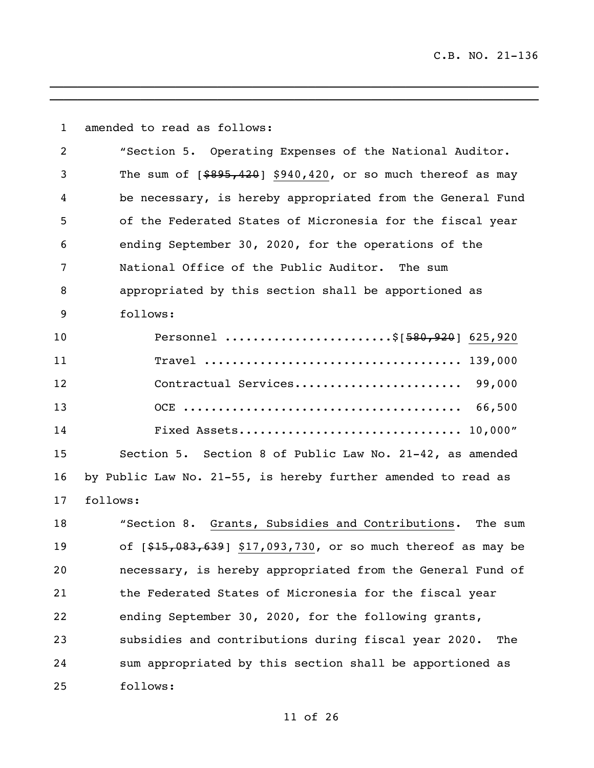| $\mathbf{1}$   | amended to read as follows:                                    |
|----------------|----------------------------------------------------------------|
| $\overline{2}$ | "Section 5. Operating Expenses of the National Auditor.        |
| 3              | The sum of $[$ \$895,420] \$940,420, or so much thereof as may |
| 4              | be necessary, is hereby appropriated from the General Fund     |
| 5              | of the Federated States of Micronesia for the fiscal year      |
| 6              | ending September 30, 2020, for the operations of the           |
| 7              | National Office of the Public Auditor. The sum                 |
| 8              | appropriated by this section shall be apportioned as           |
| 9              | follows:                                                       |
| 10             | Personnel \$[580,920] 625,920                                  |
| 11             |                                                                |
| 12             | Contractual Services 99,000                                    |
| 13             |                                                                |
| 14             |                                                                |
| 15             | Section 5. Section 8 of Public Law No. 21-42, as amended       |
| 16             | by Public Law No. 21-55, is hereby further amended to read as  |
| 17             | follows:                                                       |
| 18             | "Section 8. Grants, Subsidies and Contributions. The sum       |
| 19             | of [\$15,083,639] \$17,093,730, or so much thereof as may be   |
| 20             | necessary, is hereby appropriated from the General Fund of     |
| 21             | the Federated States of Micronesia for the fiscal year         |
| 22             | ending September 30, 2020, for the following grants,           |
| 23             | subsidies and contributions during fiscal year 2020.<br>The    |
| 24             | sum appropriated by this section shall be apportioned as       |
| 25             | follows:                                                       |

 $\mathcal{L}_\mathcal{L} = \mathcal{L}_\mathcal{L} = \mathcal{L}_\mathcal{L} = \mathcal{L}_\mathcal{L} = \mathcal{L}_\mathcal{L} = \mathcal{L}_\mathcal{L} = \mathcal{L}_\mathcal{L} = \mathcal{L}_\mathcal{L} = \mathcal{L}_\mathcal{L} = \mathcal{L}_\mathcal{L} = \mathcal{L}_\mathcal{L} = \mathcal{L}_\mathcal{L} = \mathcal{L}_\mathcal{L} = \mathcal{L}_\mathcal{L} = \mathcal{L}_\mathcal{L} = \mathcal{L}_\mathcal{L} = \mathcal{L}_\mathcal{L}$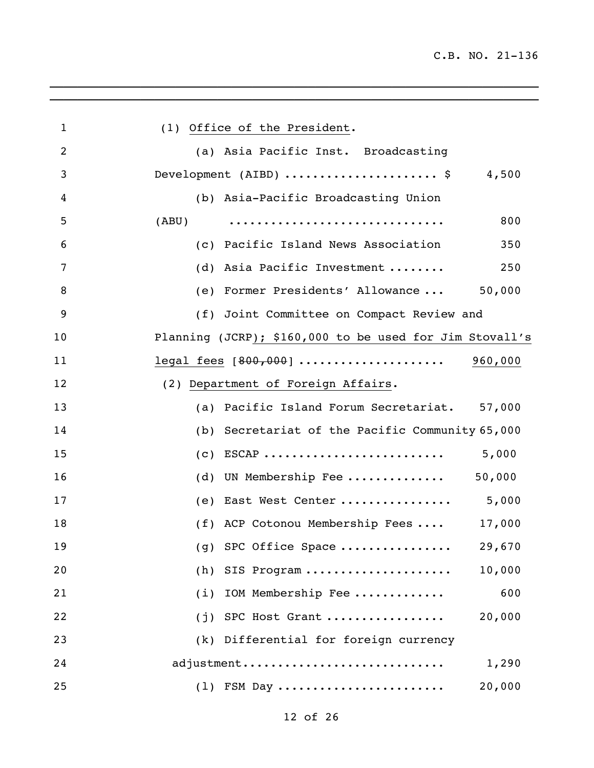$\_$  ,  $\_$  ,  $\_$  ,  $\_$  ,  $\_$  ,  $\_$  ,  $\_$  ,  $\_$  ,  $\_$  ,  $\_$  ,  $\_$  ,  $\_$  ,  $\_$  ,  $\_$  ,  $\_$ 

| $\mathbf{1}$   | (1) Office of the President.                            |
|----------------|---------------------------------------------------------|
| $\overline{2}$ | (a) Asia Pacific Inst. Broadcasting                     |
| 3              | Development (AIBD) \$ 4,500                             |
| 4              | (b) Asia-Pacific Broadcasting Union                     |
| 5              | 800<br>(ABU)                                            |
| 6              | (c) Pacific Island News Association<br>350              |
| 7              | (d) Asia Pacific Investment<br>250                      |
| 8              | (e) Former Presidents' Allowance  50,000                |
| 9              | (f) Joint Committee on Compact Review and               |
| 10             | Planning (JCRP); \$160,000 to be used for Jim Stovall's |
| 11             | legal fees [800,000]  960,000                           |
| 12             | (2) Department of Foreign Affairs.                      |
| 13             | (a) Pacific Island Forum Secretariat. 57,000            |
| 14             | (b) Secretariat of the Pacific Community 65,000         |
| 15             | $(c)$ ESCAP<br>5,000                                    |
| 16             | (d) UN Membership Fee $50,000$                          |
| 17             | (e) East West Center  5,000                             |
| 18             | (f) ACP Cotonou Membership Fees<br>17,000               |
| 19             | (g) SPC Office Space<br>29,670                          |
| 20             | 10,000<br>SIS Program<br>(h)                            |
| 21             | 600<br>IOM Membership Fee<br>(i)                        |
| 22             | 20,000<br>SPC Host Grant<br>(j)                         |
| 23             | Differential for foreign currency<br>(k)                |
| 24             | adjustment<br>1,290                                     |
| 25             | FSM Day<br>20,000<br>(1)                                |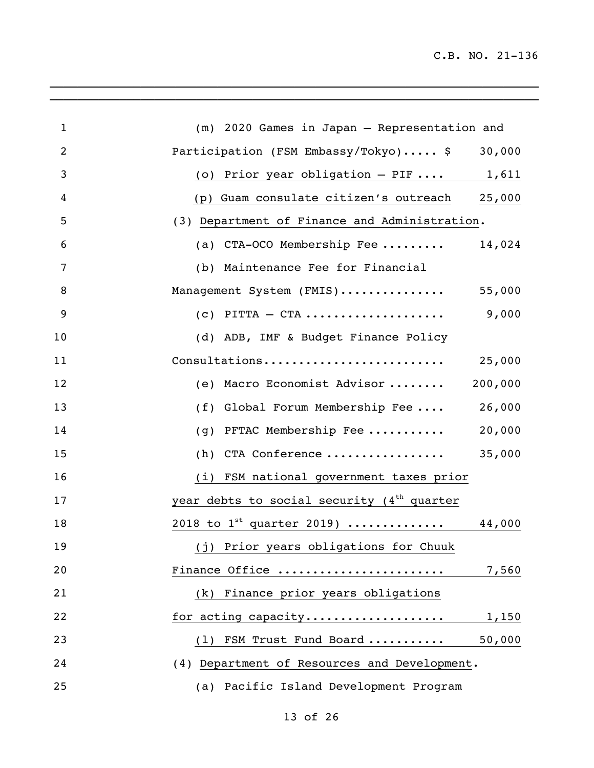| $\mathbf{1}$   | (m) 2020 Games in Japan - Representation and    |
|----------------|-------------------------------------------------|
| $\overline{2}$ | Participation (FSM Embassy/Tokyo) \$<br>30,000  |
| 3              | (o) Prior year obligation $-$ PIF  1,611        |
| 4              | (p) Guam consulate citizen's outreach 25,000    |
| 5              | (3) Department of Finance and Administration.   |
| 6              | (a) CTA-OCO Membership Fee $14,024$             |
| 7              | (b) Maintenance Fee for Financial               |
| 8              | Management System (FMIS) 55,000                 |
| 9              | 9,000<br>$(c)$ PITTA $-$ CTA                    |
| 10             | (d) ADB, IMF & Budget Finance Policy            |
| 11             | Consultations<br>25,000                         |
| 12             | 200,000<br>(e) Macro Economist Advisor          |
| 13             | (f) Global Forum Membership Fee 26,000          |
| 14             | (g) PFTAC Membership Fee<br>20,000              |
| 15             | (h) CTA Conference<br>35,000                    |
| 16             | (i) FSM national government taxes prior         |
| 17             | year debts to social security $(4th$ quarter    |
| 18             | $2018$ to 1 <sup>st</sup> quarter 2019)  44,000 |
| 19             | (j) Prior years obligations for Chuuk           |
| 20             | Finance Office<br>7,560                         |
| 21             | (k) Finance prior years obligations             |
| 22             | for acting capacity 1,150                       |
| 23             | (1) FSM Trust Fund Board<br>50,000              |
| 24             | (4) Department of Resources and Development.    |
| 25             | (a) Pacific Island Development Program          |

 $\mathcal{L}_\mathcal{L} = \mathcal{L}_\mathcal{L} = \mathcal{L}_\mathcal{L} = \mathcal{L}_\mathcal{L} = \mathcal{L}_\mathcal{L} = \mathcal{L}_\mathcal{L} = \mathcal{L}_\mathcal{L} = \mathcal{L}_\mathcal{L} = \mathcal{L}_\mathcal{L} = \mathcal{L}_\mathcal{L} = \mathcal{L}_\mathcal{L} = \mathcal{L}_\mathcal{L} = \mathcal{L}_\mathcal{L} = \mathcal{L}_\mathcal{L} = \mathcal{L}_\mathcal{L} = \mathcal{L}_\mathcal{L} = \mathcal{L}_\mathcal{L}$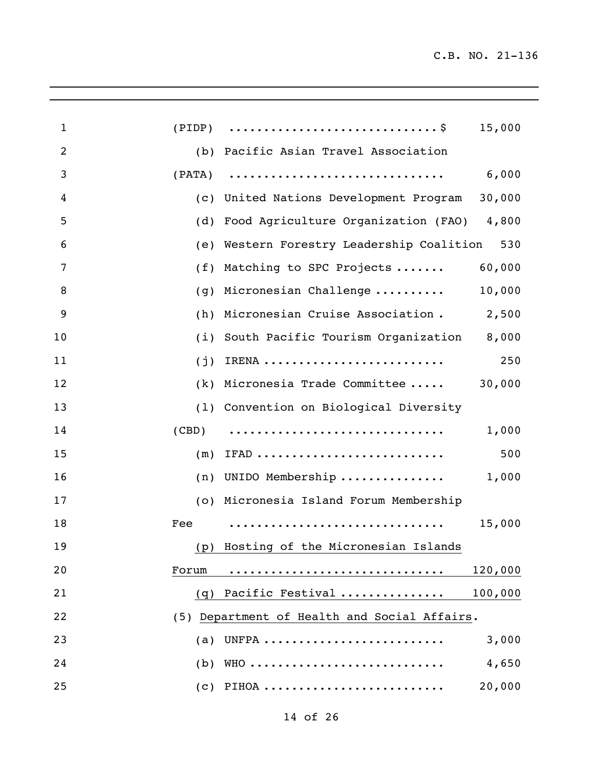| $\mathbf{1}$   |        | $(PIDP) \quad \ldots \ldots \ldots \ldots \ldots \ldots \ldots \ldots \ldots \$ | 15,000  |
|----------------|--------|---------------------------------------------------------------------------------|---------|
| $\overline{2}$ |        | (b) Pacific Asian Travel Association                                            |         |
| 3              | (PATA) |                                                                                 | 6,000   |
| 4              | (c)    | United Nations Development Program                                              | 30,000  |
| 5              | (d)    | Food Agriculture Organization (FAO) 4,800                                       |         |
| 6              | (e)    | Western Forestry Leadership Coalition                                           | 530     |
| 7              | (f)    | Matching to SPC Projects                                                        | 60,000  |
| 8              | (g)    | Micronesian Challenge                                                           | 10,000  |
| 9              | (h)    | Micronesian Cruise Association.                                                 | 2,500   |
| 10             | (i)    | South Pacific Tourism Organization                                              | 8,000   |
| 11             | (j)    | IRENA                                                                           | 250     |
| 12             | (k)    | Micronesia Trade Committee                                                      | 30,000  |
| 13             |        | (1) Convention on Biological Diversity                                          |         |
| 14             | (CBD)  |                                                                                 | 1,000   |
| 15             | (m)    | IFAD                                                                            | 500     |
| 16             | (n)    | UNIDO Membership                                                                | 1,000   |
| 17             |        | (o) Micronesia Island Forum Membership                                          |         |
| 18             | Fee    |                                                                                 | 15,000  |
| 19             |        | (p) Hosting of the Micronesian Islands                                          |         |
| 20             | Forum  |                                                                                 | 120,000 |
| 21             |        | (q) Pacific Festival                                                            | 100,000 |
| 22             |        | (5) Department of Health and Social Affairs.                                    |         |
| 23             |        | $(a)$ UNFPA                                                                     | 3,000   |
| 24             |        | $(b)$ WHO                                                                       | 4,650   |
| 25             |        | $(c)$ PIHOA                                                                     | 20,000  |
|                |        |                                                                                 |         |

 $\mathcal{L}_\mathcal{L} = \mathcal{L}_\mathcal{L} = \mathcal{L}_\mathcal{L} = \mathcal{L}_\mathcal{L} = \mathcal{L}_\mathcal{L} = \mathcal{L}_\mathcal{L} = \mathcal{L}_\mathcal{L} = \mathcal{L}_\mathcal{L} = \mathcal{L}_\mathcal{L} = \mathcal{L}_\mathcal{L} = \mathcal{L}_\mathcal{L} = \mathcal{L}_\mathcal{L} = \mathcal{L}_\mathcal{L} = \mathcal{L}_\mathcal{L} = \mathcal{L}_\mathcal{L} = \mathcal{L}_\mathcal{L} = \mathcal{L}_\mathcal{L}$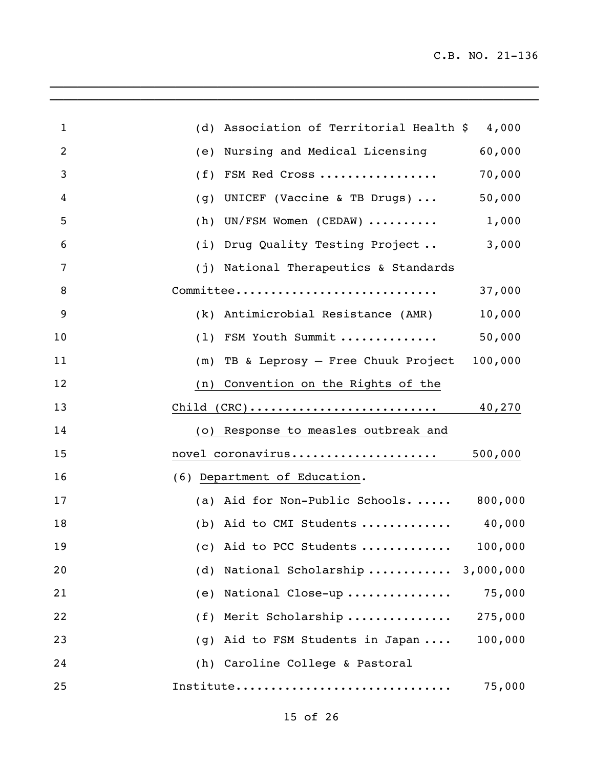| $\mathbf{1}$   | (d) Association of Territorial Health $$4,000$                                  |
|----------------|---------------------------------------------------------------------------------|
| $\overline{2}$ | Nursing and Medical Licensing<br>60,000<br>(e)                                  |
| 3              | 70,000<br>FSM Red Cross<br>(f)                                                  |
| 4              | 50,000<br>UNICEF (Vaccine & TB Drugs) $\ldots$<br>(g)                           |
| 5              | UN/FSM Women (CEDAW)<br>1,000<br>(h)                                            |
| 6              | Drug Quality Testing Project<br>3,000<br>(i)                                    |
| 7              | National Therapeutics & Standards<br>(j)                                        |
| 8              | Committee<br>37,000                                                             |
| 9              | (k) Antimicrobial Resistance (AMR)<br>10,000                                    |
| 10             | (1) FSM Youth Summit<br>50,000                                                  |
| 11             | 100,000<br>TB & Leprosy - Free Chuuk Project<br>(m)                             |
| 12             | Convention on the Rights of the<br>(n)                                          |
| 13             | $Child (CRC) \ldots \ldots \ldots \ldots \ldots \ldots \ldots \ldots$<br>40,270 |
| 14             | Response to measles outbreak and<br>(O)                                         |
| 15             | 500,000<br>novel coronavirus                                                    |
| 16             | (6) Department of Education.                                                    |
| 17             | 800,000<br>(a) Aid for Non-Public Schools                                       |
| 18             | (b) Aid to CMI Students $40,000$                                                |
| 19             | (c) Aid to PCC Students<br>100,000                                              |
| 20             | National Scholarship  3,000,000<br>(d)                                          |
| 21             | 75,000<br>National Close-up<br>(e)                                              |
| 22             | Merit Scholarship<br>275,000<br>(f)                                             |
| 23             | 100,000<br>Aid to FSM Students in Japan<br>(g)                                  |
| 24             | (h) Caroline College & Pastoral                                                 |
| 25             | Institute<br>75,000                                                             |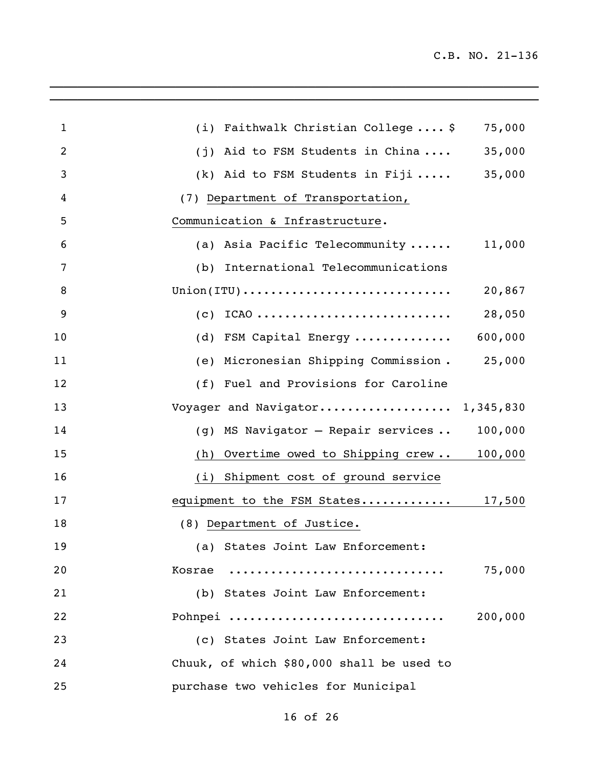| $\mathbf{1}$   | (i) Faithwalk Christian College  \$                                         | 75,000  |
|----------------|-----------------------------------------------------------------------------|---------|
| $\overline{2}$ | Aid to FSM Students in China<br>(j)                                         | 35,000  |
| 3              | (k) Aid to FSM Students in Fiji                                             | 35,000  |
| 4              | (7) Department of Transportation,                                           |         |
| 5              | Communication & Infrastructure.                                             |         |
| 6              | (a) Asia Pacific Telecommunity                                              | 11,000  |
| 7              | International Telecommunications<br>(b)                                     |         |
| 8              | $Union(TTU) \ldots \ldots \ldots \ldots \ldots \ldots \ldots \ldots \ldots$ | 20,867  |
| 9              | $ICAO$<br>(c)                                                               | 28,050  |
| 10             | FSM Capital Energy<br>(d)                                                   | 600,000 |
| 11             | Micronesian Shipping Commission.<br>(e)                                     | 25,000  |
| 12             | (f) Fuel and Provisions for Caroline                                        |         |
| 13             | Voyager and Navigator 1,345,830                                             |         |
| 14             | MS Navigator - Repair services<br>(g)                                       | 100,000 |
| 15             | Overtime owed to Shipping crew 100,000<br>(h)                               |         |
| 16             | (i) Shipment cost of ground service                                         |         |
| 17             | equipment to the FSM States 17,500                                          |         |
| 18             | (8) Department of Justice.                                                  |         |
| 19             | (a) States Joint Law Enforcement:                                           |         |
| 20             | Kosrae                                                                      | 75,000  |
| 21             | (b) States Joint Law Enforcement:                                           |         |
| 22             | Pohnpei                                                                     | 200,000 |
| 23             | (c) States Joint Law Enforcement:                                           |         |
| 24             | Chuuk, of which \$80,000 shall be used to                                   |         |
| 25             | purchase two vehicles for Municipal                                         |         |

 $\mathcal{L}_\mathcal{L} = \mathcal{L}_\mathcal{L} = \mathcal{L}_\mathcal{L} = \mathcal{L}_\mathcal{L} = \mathcal{L}_\mathcal{L} = \mathcal{L}_\mathcal{L} = \mathcal{L}_\mathcal{L} = \mathcal{L}_\mathcal{L} = \mathcal{L}_\mathcal{L} = \mathcal{L}_\mathcal{L} = \mathcal{L}_\mathcal{L} = \mathcal{L}_\mathcal{L} = \mathcal{L}_\mathcal{L} = \mathcal{L}_\mathcal{L} = \mathcal{L}_\mathcal{L} = \mathcal{L}_\mathcal{L} = \mathcal{L}_\mathcal{L}$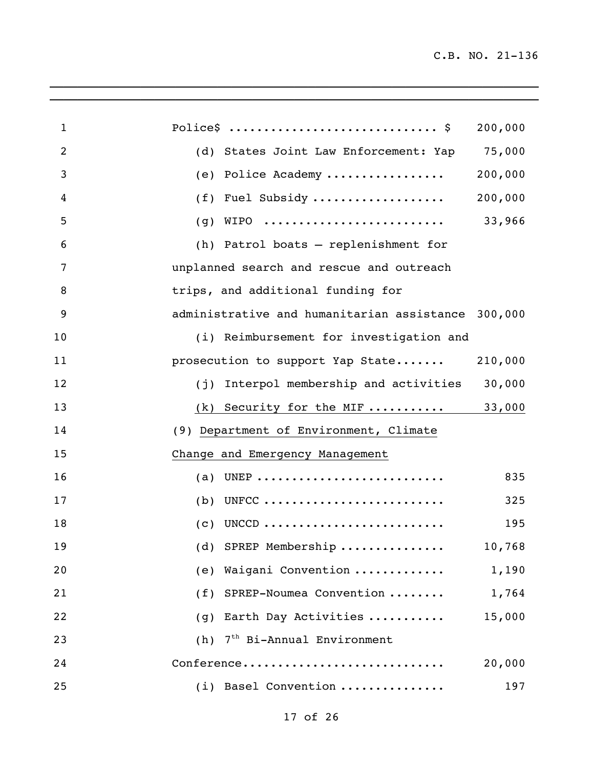| $\mathbf{1}$   | Police\$  \$                                       | 200,000 |
|----------------|----------------------------------------------------|---------|
| $\overline{2}$ | (d) States Joint Law Enforcement: Yap 75,000       |         |
| 3              | (e) Police Academy                                 | 200,000 |
| 4              | $(f)$ Fuel Subsidy                                 | 200,000 |
| 5              | WIPO<br>(g)                                        | 33,966  |
| 6              | (h) Patrol boats - replenishment for               |         |
| 7              | unplanned search and rescue and outreach           |         |
| 8              | trips, and additional funding for                  |         |
| 9              | administrative and humanitarian assistance 300,000 |         |
| 10             | (i) Reimbursement for investigation and            |         |
| 11             | prosecution to support Yap State                   | 210,000 |
| 12             | (j) Interpol membership and activities             | 30,000  |
| 13             | (k) Security for the MIF $33,000$                  |         |
| 14             | (9) Department of Environment, Climate             |         |
| 15             | Change and Emergency Management                    |         |
| 16             | (a) UNEP                                           | 835     |
| 17             | $(b)$ UNFCC                                        | 325     |
| 18             | $(c)$ UNCCD                                        | 195     |
| 19             | (d) SPREP Membership                               | 10,768  |
| 20             | Waigani Convention<br>(e)                          | 1,190   |
| 21             | SPREP-Noumea Convention<br>(f)                     | 1,764   |
| 22             | Earth Day Activities<br>(g)                        | 15,000  |
| 23             | $7th$ Bi-Annual Environment<br>(h)                 |         |
| 24             | Conference                                         | 20,000  |
| 25             | (i) Basel Convention                               | 197     |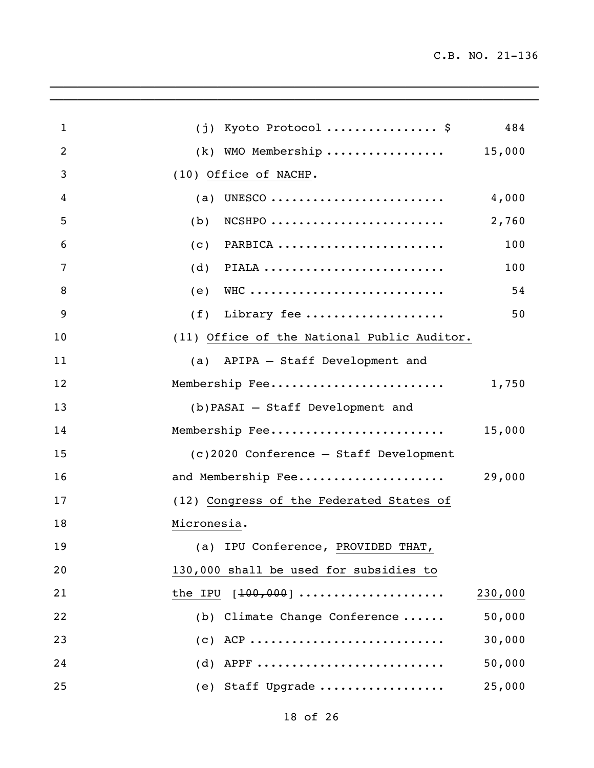| $\mathbf{1}$   | $(j)$ Kyoto Protocol  \$<br>484             |  |
|----------------|---------------------------------------------|--|
| $\overline{2}$ | $(k)$ WMO Membership<br>15,000              |  |
| 3              | (10) Office of NACHP.                       |  |
| 4              | (a) UNESCO<br>4,000                         |  |
| 5              | 2,760<br>$NCSHPO$<br>(b)                    |  |
| 6              | 100<br>PARBICA<br>(C)                       |  |
| 7              | PIALA<br>100<br>(d)                         |  |
| 8              | WHC<br>54<br>(e)                            |  |
| 9              | 50<br>$(f)$ Library fee                     |  |
| 10             | (11) Office of the National Public Auditor. |  |
| 11             | (a) APIPA - Staff Development and           |  |
| 12             | Membership Fee<br>1,750                     |  |
| 13             | (b) PASAI - Staff Development and           |  |
| 14             | Membership Fee<br>15,000                    |  |
| 15             | (c)2020 Conference - Staff Development      |  |
| 16             | 29,000<br>and Membership Fee                |  |
| 17             | (12) Congress of the Federated States of    |  |
| 18             | Micronesia.                                 |  |
| 19             | (a) IPU Conference, PROVIDED THAT,          |  |
| 20             | 130,000 shall be used for subsidies to      |  |
| 21             | the IPU $[100, 000]$<br>230,000             |  |
| 22             | 50,000<br>(b) Climate Change Conference     |  |
| 23             | $(c)$ ACP<br>30,000                         |  |
| 24             | $(d)$ APPF<br>50,000                        |  |
| 25             | (e) Staff Upgrade<br>25,000                 |  |

 $\mathcal{L}_\mathcal{L} = \mathcal{L}_\mathcal{L} = \mathcal{L}_\mathcal{L} = \mathcal{L}_\mathcal{L} = \mathcal{L}_\mathcal{L} = \mathcal{L}_\mathcal{L} = \mathcal{L}_\mathcal{L} = \mathcal{L}_\mathcal{L} = \mathcal{L}_\mathcal{L} = \mathcal{L}_\mathcal{L} = \mathcal{L}_\mathcal{L} = \mathcal{L}_\mathcal{L} = \mathcal{L}_\mathcal{L} = \mathcal{L}_\mathcal{L} = \mathcal{L}_\mathcal{L} = \mathcal{L}_\mathcal{L} = \mathcal{L}_\mathcal{L}$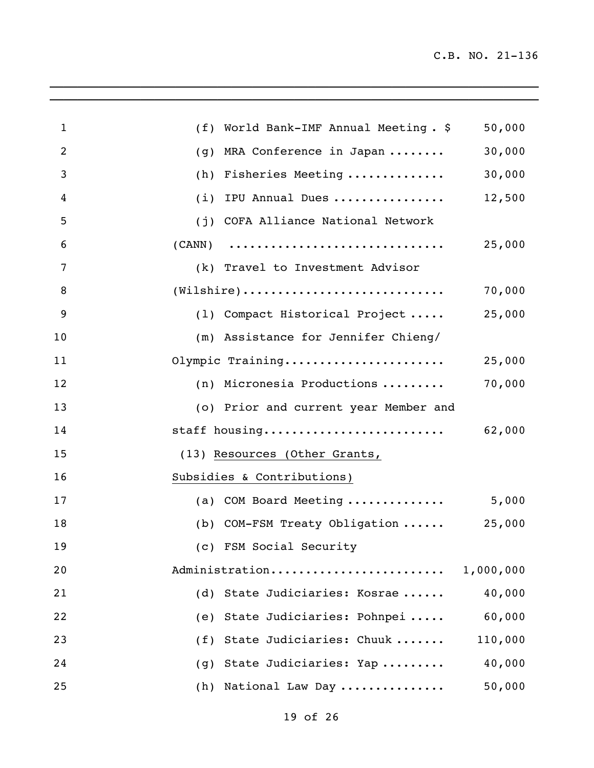$\_$  ,  $\_$  ,  $\_$  ,  $\_$  ,  $\_$  ,  $\_$  ,  $\_$  ,  $\_$  ,  $\_$  ,  $\_$  ,  $\_$  ,  $\_$  ,  $\_$  ,  $\_$  ,  $\_$  ,  $\_$  ,  $\_$ 

| $\mathbf{1}$   | World Bank-IMF Annual Meeting. \$<br>(f)                                    | 50,000    |
|----------------|-----------------------------------------------------------------------------|-----------|
| $\overline{2}$ | MRA Conference in Japan<br>(g)                                              | 30,000    |
| 3              | Fisheries Meeting<br>(h)                                                    | 30,000    |
| 4              | IPU Annual Dues<br>(i)                                                      | 12,500    |
| 5              | (j) COFA Alliance National Network                                          |           |
| 6              | $(CANN)$                                                                    | 25,000    |
| 7              | (k) Travel to Investment Advisor                                            |           |
| 8              | $(\texttt{Wilshire}) \dots \dots \dots \dots \dots \dots \dots \dots \dots$ | 70,000    |
| 9              | (1) Compact Historical Project                                              | 25,000    |
| 10             | (m) Assistance for Jennifer Chieng/                                         |           |
| 11             | Olympic Training                                                            | 25,000    |
| 12             | (n) Micronesia Productions                                                  | 70,000    |
| 13             | (o) Prior and current year Member and                                       |           |
| 14             | staff housing                                                               | 62,000    |
| 15             | (13) Resources (Other Grants,                                               |           |
| 16             | Subsidies & Contributions)                                                  |           |
| 17             | (a) COM Board Meeting                                                       | 5,000     |
| 18             | (b) COM-FSM Treaty Obligation  25,000                                       |           |
| 19             | (c) FSM Social Security                                                     |           |
| 20             | Administration                                                              | 1,000,000 |
| 21             | State Judiciaries: Kosrae<br>(d)                                            | 40,000    |
| 22             | (e) State Judiciaries: Pohnpei                                              | 60,000    |
| 23             | (f) State Judiciaries: Chuuk                                                | 110,000   |
| 24             | (g) State Judiciaries: Yap                                                  | 40,000    |
| 25             | (h) National Law Day                                                        | 50,000    |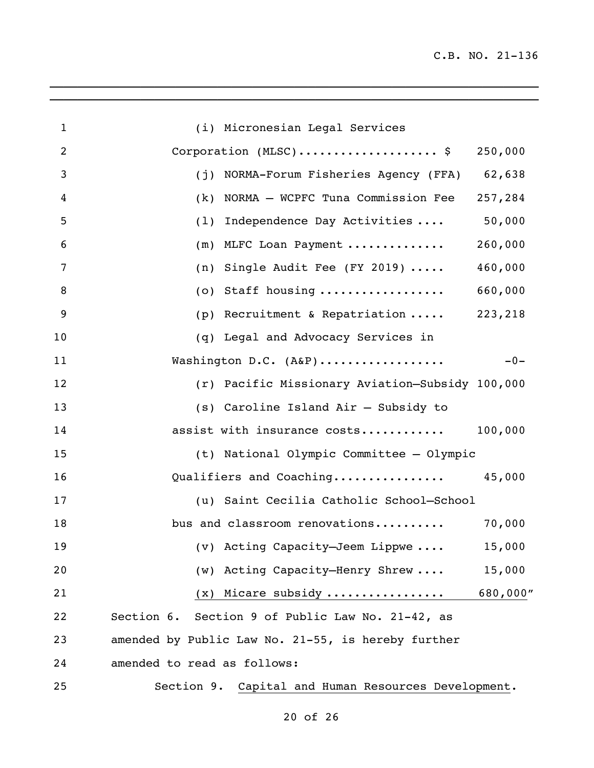| $\mathbf{1}$ | (i) Micronesian Legal Services                      |          |
|--------------|-----------------------------------------------------|----------|
| 2            | Corporation $(MLSC)$ \$                             | 250,000  |
| 3            | (j) NORMA-Forum Fisheries Agency (FFA) 62,638       |          |
| 4            | NORMA - WCPFC Tuna Commission Fee<br>(k)            | 257,284  |
| 5            | Independence Day Activities<br>(1)                  | 50,000   |
| 6            | (m) MLFC Loan Payment                               | 260,000  |
| 7            | (n) Single Audit Fee (FY 2019) $\ldots$ .           | 460,000  |
| 8            | (o) Staff housing                                   | 660,000  |
| 9            | (p) Recruitment & Repatriation  223,218             |          |
| 10           | (q) Legal and Advocacy Services in                  |          |
| 11           | Washington D.C. (A&P)                               | $-0-$    |
| 12           | (r) Pacific Missionary Aviation-Subsidy 100,000     |          |
| 13           | (s) Caroline Island Air - Subsidy to                |          |
| 14           | assist with insurance costs                         | 100,000  |
| 15           | (t) National Olympic Committee - Olympic            |          |
| 16           | Qualifiers and Coaching                             | 45,000   |
| 17           | (u) Saint Cecilia Catholic School-School            |          |
| 18           | bus and classroom renovations                       | 70,000   |
| 19           | (v) Acting Capacity-Jeem Lippwe                     | 15,000   |
| 20           | (w) Acting Capacity-Henry Shrew                     | 15,000   |
| 21           | $(x)$ Micare subsidy                                | 680,000" |
| 22           | Section 6. Section 9 of Public Law No. 21-42, as    |          |
| 23           | amended by Public Law No. 21-55, is hereby further  |          |
| 24           | amended to read as follows:                         |          |
| 25           | Section 9. Capital and Human Resources Development. |          |

 $\overline{a_1}$  ,  $\overline{a_2}$  ,  $\overline{a_3}$  ,  $\overline{a_4}$  ,  $\overline{a_5}$  ,  $\overline{a_6}$  ,  $\overline{a_7}$  ,  $\overline{a_8}$  ,  $\overline{a_9}$  ,  $\overline{a_9}$  ,  $\overline{a_9}$  ,  $\overline{a_9}$  ,  $\overline{a_9}$  ,  $\overline{a_9}$  ,  $\overline{a_9}$  ,  $\overline{a_9}$  ,  $\overline{a_9}$  ,

of 26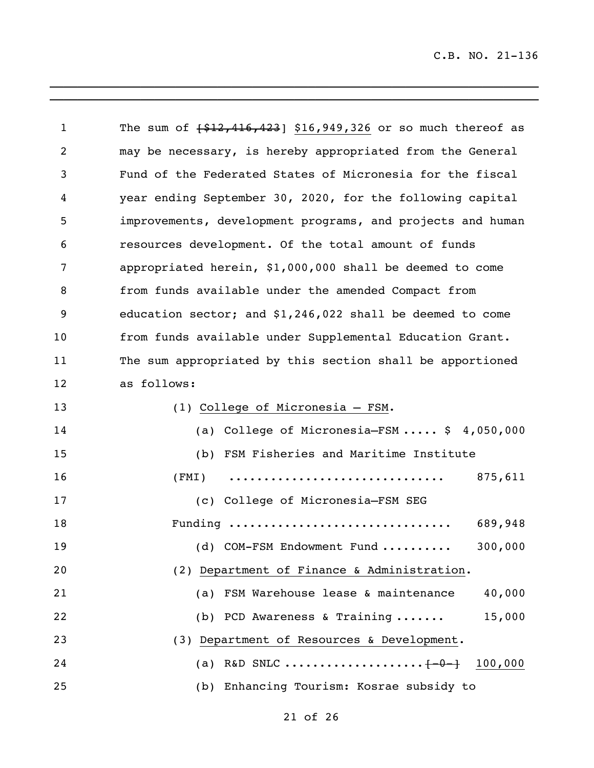| $\mathbf{1}$ | The sum of $\{ $12,416,423]$ \$16,949,326 or so much thereof as |
|--------------|-----------------------------------------------------------------|
| 2            | may be necessary, is hereby appropriated from the General       |
| 3            | Fund of the Federated States of Micronesia for the fiscal       |
| 4            | year ending September 30, 2020, for the following capital       |
| 5            | improvements, development programs, and projects and human      |
| 6            | resources development. Of the total amount of funds             |
| 7            | appropriated herein, \$1,000,000 shall be deemed to come        |
| 8            | from funds available under the amended Compact from             |
| 9            | education sector; and $$1,246,022$ shall be deemed to come      |
| 10           | from funds available under Supplemental Education Grant.        |
| 11           | The sum appropriated by this section shall be apportioned       |
| 12           | as follows:                                                     |
| 13           | (1) College of Micronesia - FSM.                                |
| 14           | (a) College of Micronesia-FSM $$4,050,000$                      |
| 15           | (b) FSM Fisheries and Maritime Institute                        |
| 16           | 875,611<br>(FMI)                                                |
| 17           | (c) College of Micronesia-FSM SEG                               |
| 18           | Funding<br>689,948                                              |
| 19           | (d) COM-FSM Endowment Fund<br>300,000                           |
| 20           | (2) Department of Finance & Administration.                     |
| 21           | FSM Warehouse lease & maintenance<br>40,000<br>(a)              |
| 22           | 15,000<br>(b) PCD Awareness & Training $\ldots \ldots$          |
| 23           | (3) Department of Resources & Development.                      |
| 24           | (a) R&D SNLC $[-0 -]$<br>100,000                                |
| 25           | (b) Enhancing Tourism: Kosrae subsidy to                        |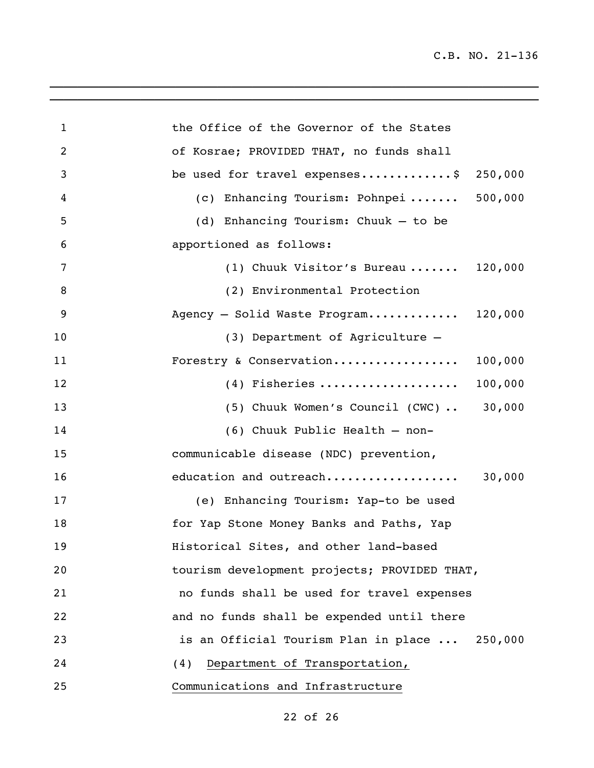| $\mathbf{1}$   | the Office of the Governor of the States      |
|----------------|-----------------------------------------------|
| $\overline{2}$ | of Kosrae; PROVIDED THAT, no funds shall      |
| 3              | be used for travel expenses\$<br>250,000      |
| 4              | (c) Enhancing Tourism: Pohnpei 500,000        |
| 5              | (d) Enhancing Tourism: Chuuk - to be          |
| 6              | apportioned as follows:                       |
| 7              | (1) Chuuk Visitor's Bureau $120,000$          |
| 8              | (2) Environmental Protection                  |
| 9              | Agency - Solid Waste Program 120,000          |
| 10             | (3) Department of Agriculture -               |
| 11             | Forestry & Conservation<br>100,000            |
| 12             | $(4)$ Fisheries<br>100,000                    |
| 13             | $(5)$ Chuuk Women's Council $(CWC)$ 30,000    |
| 14             | (6) Chuuk Public Health - non-                |
| 15             | communicable disease (NDC) prevention,        |
| 16             | 30,000<br>education and outreach              |
| 17             | (e) Enhancing Tourism: Yap-to be used         |
| 18             | for Yap Stone Money Banks and Paths, Yap      |
| 19             | Historical Sites, and other land-based        |
| 20             | tourism development projects; PROVIDED THAT,  |
| 21             | no funds shall be used for travel expenses    |
| 22             | and no funds shall be expended until there    |
| 23             | is an Official Tourism Plan in place  250,000 |
| 24             | Department of Transportation,<br>(4)          |
| 25             | Communications and Infrastructure             |

 $\overline{\phantom{a}}$  , and the contribution of the contribution of the contribution of the contribution of the contribution of the contribution of the contribution of the contribution of the contribution of the contribution of the

of 26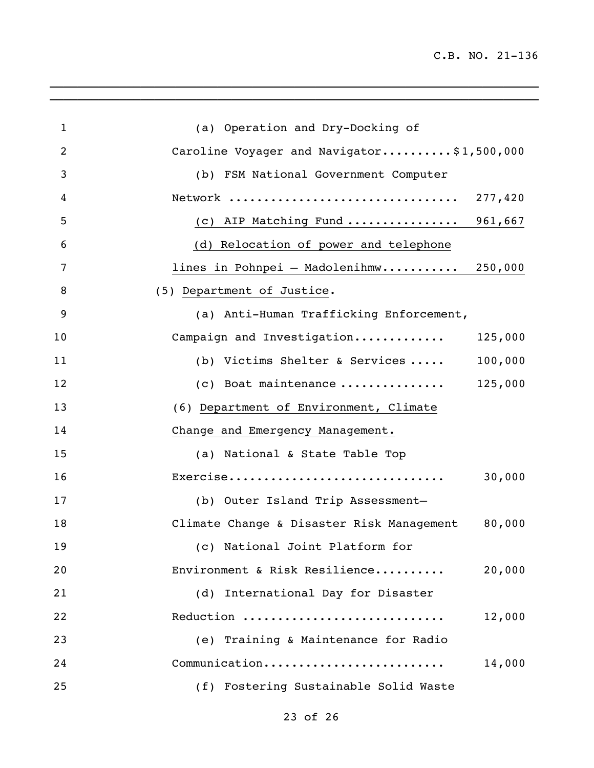\_\_\_\_\_\_\_\_\_\_\_\_\_\_\_\_\_\_\_\_\_\_\_\_\_\_\_\_\_\_\_\_\_\_\_\_\_\_\_\_\_\_\_\_\_\_\_\_\_\_\_\_\_\_\_\_\_\_\_\_\_\_\_\_\_\_\_\_\_\_

| $\mathbf{1}$   | (a) Operation and Dry-Docking of                    |
|----------------|-----------------------------------------------------|
| $\overline{2}$ | Caroline Voyager and Navigator\$1,500,000           |
| 3              | (b) FSM National Government Computer                |
| 4              |                                                     |
| 5              | (c) AIP Matching Fund  961,667                      |
| 6              | (d) Relocation of power and telephone               |
| 7              | lines in Pohnpei - Madolenihmw 250,000              |
| 8              | (5) Department of Justice.                          |
| 9              | (a) Anti-Human Trafficking Enforcement,             |
| 10             | Campaign and Investigation<br>125,000               |
| 11             | (b) Victims Shelter & Services<br>100,000           |
| 12             | 125,000<br>(c) Boat maintenance                     |
| 13             | (6) Department of Environment, Climate              |
| 14             | Change and Emergency Management.                    |
| 15             | (a) National & State Table Top                      |
| 16             | Exercise<br>30,000                                  |
| 17             | (b) Outer Island Trip Assessment-                   |
| 18             | 80,000<br>Climate Change & Disaster Risk Management |
| 19             | (c) National Joint Platform for                     |
| 20             | Environment & Risk Resilience<br>20,000             |
| 21             | (d) International Day for Disaster                  |
| 22             | Reduction<br>12,000                                 |
| 23             | (e) Training & Maintenance for Radio                |
| 24             | Communication<br>14,000                             |
| 25             | (f) Fostering Sustainable Solid Waste               |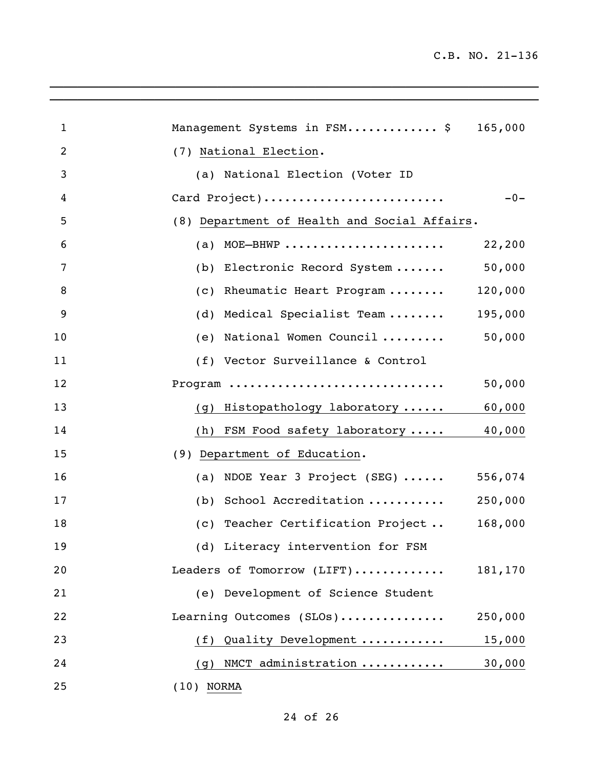| $\mathbf{1}$   | Management Systems in FSM \$                 | 165,000 |
|----------------|----------------------------------------------|---------|
| 2              | (7) National Election.                       |         |
| 3              | (a) National Election (Voter ID              |         |
| 4              | Card Project)                                | $-0-$   |
| 5              | (8) Department of Health and Social Affairs. |         |
| 6              | MOE-BHWP<br>(a)                              | 22,200  |
| 7              | (b) Electronic Record System                 | 50,000  |
| 8              | (c) Rheumatic Heart Program                  | 120,000 |
| $\overline{9}$ | Medical Specialist Team<br>(d)               | 195,000 |
| 10             | (e) National Women Council                   | 50,000  |
| 11             | (f) Vector Surveillance & Control            |         |
| 12             | Program                                      | 50,000  |
| 13             | (g) Histopathology laboratory                | 60,000  |
| 14             | (h) FSM Food safety laboratory               | 40,000  |
| 15             | (9) Department of Education.                 |         |
| 16             | (a) NDOE Year 3 Project (SEG) $\cdots$       | 556,074 |
| 17             | (b) School Accreditation                     | 250,000 |
| 18             | (c) Teacher Certification Project            | 168,000 |
| 19             | (d) Literacy intervention for FSM            |         |
| 20             | Leaders of Tomorrow (LIFT)                   | 181,170 |
| 21             | (e) Development of Science Student           |         |
| 22             | Learning Outcomes (SLOs)                     | 250,000 |
| 23             | (f) Quality Development                      | 15,000  |
| 24             | (g) NMCT administration                      | 30,000  |
| 25             | $(10)$ NORMA                                 |         |

 $\mathcal{L}_\mathcal{L} = \mathcal{L}_\mathcal{L} = \mathcal{L}_\mathcal{L} = \mathcal{L}_\mathcal{L} = \mathcal{L}_\mathcal{L} = \mathcal{L}_\mathcal{L} = \mathcal{L}_\mathcal{L} = \mathcal{L}_\mathcal{L} = \mathcal{L}_\mathcal{L} = \mathcal{L}_\mathcal{L} = \mathcal{L}_\mathcal{L} = \mathcal{L}_\mathcal{L} = \mathcal{L}_\mathcal{L} = \mathcal{L}_\mathcal{L} = \mathcal{L}_\mathcal{L} = \mathcal{L}_\mathcal{L} = \mathcal{L}_\mathcal{L}$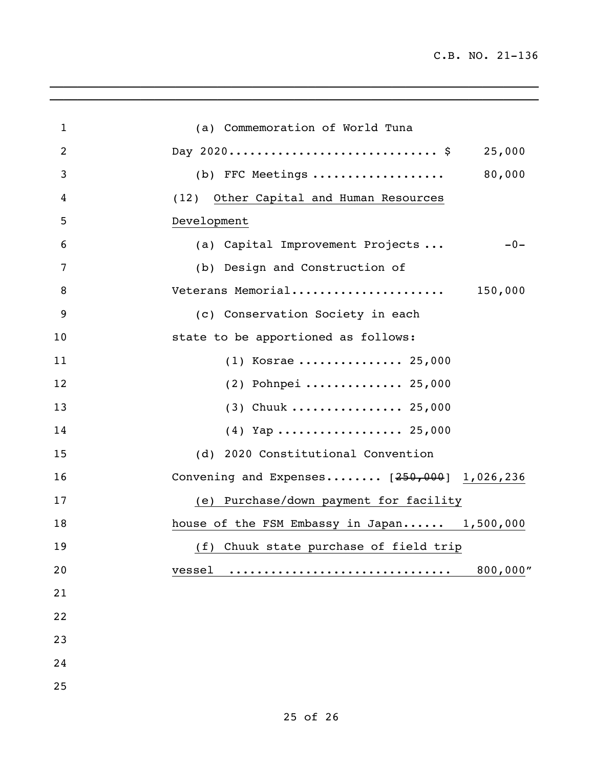| $\mathbf{1}$ | (a) Commemoration of World Tuna              |
|--------------|----------------------------------------------|
| 2            | 25,000                                       |
| 3            | 80,000<br>(b) FFC Meetings                   |
| 4            | Other Capital and Human Resources<br>(12)    |
| 5            | Development                                  |
| 6            | (a) Capital Improvement Projects<br>$-0-$    |
| 7            | (b) Design and Construction of               |
| 8            | Veterans Memorial<br>150,000                 |
| 9            | (c) Conservation Society in each             |
| 10           | state to be apportioned as follows:          |
| 11           | $(1)$ Kosrae  25,000                         |
| 12           | $(2)$ Pohnpei  25,000                        |
| 13           | $(3)$ Chuuk  25,000                          |
| 14           | $(4)$ Yap  25,000                            |
| 15           | (d) 2020 Constitutional Convention           |
| 16           | Convening and Expenses $[250,000]$ 1,026,236 |
| 17           | (e) Purchase/down payment for facility       |
| 18           | house of the FSM Embassy in Japan 1,500,000  |
| 19           | (f) Chuuk state purchase of field trip       |
| 20           | 800,000"<br>vessel<br>. <u>.</u>             |
| 21           |                                              |
| 22           |                                              |
| 23           |                                              |
| 24           |                                              |
| 25           |                                              |